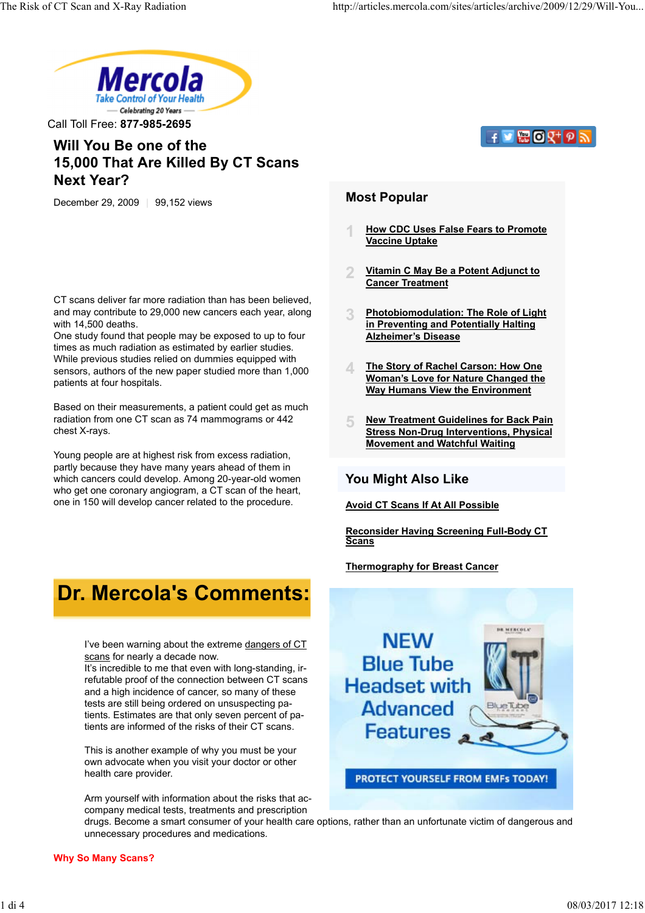

Call Toll Free: **877-985-2695**

## **Will You Be one of the 15,000 That Are Killed By CT Scans Next Year?**

December 29, 2009 | 99,152 views

CT scans deliver far more radiation than has been believed, and may contribute to 29,000 new cancers each year, along with 14,500 deaths.

One study found that people may be exposed to up to four times as much radiation as estimated by earlier studies. While previous studies relied on dummies equipped with sensors, authors of the new paper studied more than 1,000 patients at four hospitals.

Based on their measurements, a patient could get as much radiation from one CT scan as 74 mammograms or 442 chest X-rays.

Young people are at highest risk from excess radiation, partly because they have many years ahead of them in which cancers could develop. Among 20-year-old women who get one coronary angiogram, a CT scan of the heart, one in 150 will develop cancer related to the procedure.

# **Dr. Mercola's Comments:**

I've been warning about the extreme dangers of CT scans for nearly a decade now.

It's incredible to me that even with long-standing, irrefutable proof of the connection between CT scans and a high incidence of cancer, so many of these tests are still being ordered on unsuspecting patients. Estimates are that only seven percent of patients are informed of the risks of their CT scans.

This is another example of why you must be your own advocate when you visit your doctor or other health care provider.

Arm yourself with information about the risks that accompany medical tests, treatments and prescription

drugs. Become a smart consumer of your health care options, rather than an unfortunate victim of dangerous and unnecessary procedures and medications.

## $f \triangleright$   $\mathbb{R}$   $\mathbb{O}$   $\mathbb{Q}^{+}$   $\mathbb{O}$   $\mathbb{R}$

### **Most Popular**

- **1 How CDC Uses False Fears to Promote Vaccine Uptake**
- **2 Vitamin C May Be a Potent Adjunct to Cancer Treatment**
- **3 Photobiomodulation: The Role of Light in Preventing and Potentially Halting Alzheimer's Disease**
- **4 The Story of Rachel Carson: How One Woman's Love for Nature Changed the Way Humans View the Environment**
- **5 New Treatment Guidelines for Back Pain Stress Non-Drug Interventions, Physical Movement and Watchful Waiting**

### **You Might Also Like**

**Avoid CT Scans If At All Possible**

**Reconsider Having Screening Full-Body CT Scans**

**Thermography for Breast Cancer**

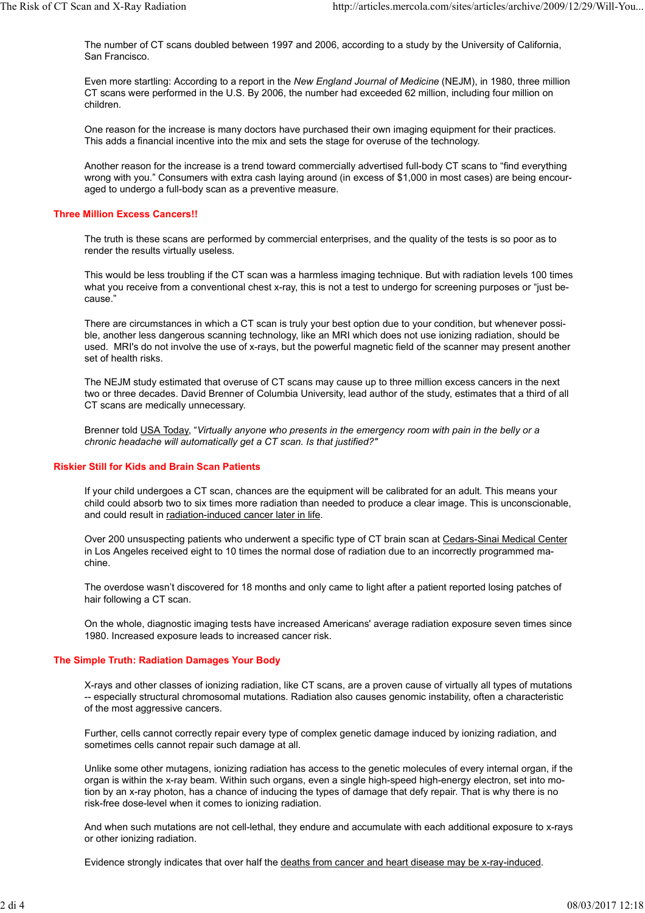The number of CT scans doubled between 1997 and 2006, according to a study by the University of California, San Francisco.

Even more startling: According to a report in the *New England Journal of Medicine* (NEJM), in 1980, three million CT scans were performed in the U.S. By 2006, the number had exceeded 62 million, including four million on children.

One reason for the increase is many doctors have purchased their own imaging equipment for their practices. This adds a financial incentive into the mix and sets the stage for overuse of the technology.

Another reason for the increase is a trend toward commercially advertised full-body CT scans to "find everything wrong with you." Consumers with extra cash laying around (in excess of \$1,000 in most cases) are being encouraged to undergo a full-body scan as a preventive measure.

#### **Three Million Excess Cancers!!**

The truth is these scans are performed by commercial enterprises, and the quality of the tests is so poor as to render the results virtually useless.

This would be less troubling if the CT scan was a harmless imaging technique. But with radiation levels 100 times what you receive from a conventional chest x-ray, this is not a test to undergo for screening purposes or "just because."

There are circumstances in which a CT scan is truly your best option due to your condition, but whenever possible, another less dangerous scanning technology, like an MRI which does not use ionizing radiation, should be used. MRI's do not involve the use of x-rays, but the powerful magnetic field of the scanner may present another set of health risks.

The NEJM study estimated that overuse of CT scans may cause up to three million excess cancers in the next two or three decades. David Brenner of Columbia University, lead author of the study, estimates that a third of all CT scans are medically unnecessary.

Brenner told USA Today, "*Virtually anyone who presents in the emergency room with pain in the belly or a chronic headache will automatically get a CT scan. Is that justified?"*

#### **Riskier Still for Kids and Brain Scan Patients**

If your child undergoes a CT scan, chances are the equipment will be calibrated for an adult. This means your child could absorb two to six times more radiation than needed to produce a clear image. This is unconscionable, and could result in radiation-induced cancer later in life.

Over 200 unsuspecting patients who underwent a specific type of CT brain scan at Cedars-Sinai Medical Center in Los Angeles received eight to 10 times the normal dose of radiation due to an incorrectly programmed machine.

The overdose wasn't discovered for 18 months and only came to light after a patient reported losing patches of hair following a CT scan.

On the whole, diagnostic imaging tests have increased Americans' average radiation exposure seven times since 1980. Increased exposure leads to increased cancer risk.

#### **The Simple Truth: Radiation Damages Your Body**

X-rays and other classes of ionizing radiation, like CT scans, are a proven cause of virtually all types of mutations -- especially structural chromosomal mutations. Radiation also causes genomic instability, often a characteristic of the most aggressive cancers.

Further, cells cannot correctly repair every type of complex genetic damage induced by ionizing radiation, and sometimes cells cannot repair such damage at all.

Unlike some other mutagens, ionizing radiation has access to the genetic molecules of every internal organ, if the organ is within the x-ray beam. Within such organs, even a single high-speed high-energy electron, set into motion by an x-ray photon, has a chance of inducing the types of damage that defy repair. That is why there is no risk-free dose-level when it comes to ionizing radiation.

And when such mutations are not cell-lethal, they endure and accumulate with each additional exposure to x-rays or other ionizing radiation.

Evidence strongly indicates that over half the deaths from cancer and heart disease may be x-ray-induced.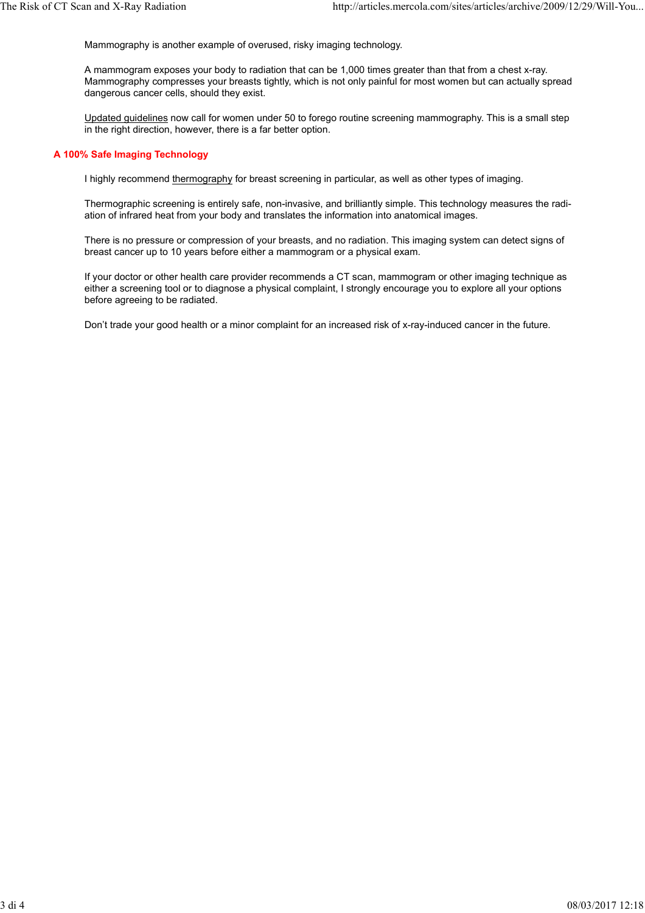Mammography is another example of overused, risky imaging technology.

A mammogram exposes your body to radiation that can be 1,000 times greater than that from a chest x-ray. Mammography compresses your breasts tightly, which is not only painful for most women but can actually spread dangerous cancer cells, should they exist.

Updated guidelines now call for women under 50 to forego routine screening mammography. This is a small step in the right direction, however, there is a far better option.

#### **A 100% Safe Imaging Technology**

I highly recommend thermography for breast screening in particular, as well as other types of imaging.

Thermographic screening is entirely safe, non-invasive, and brilliantly simple. This technology measures the radiation of infrared heat from your body and translates the information into anatomical images.

There is no pressure or compression of your breasts, and no radiation. This imaging system can detect signs of breast cancer up to 10 years before either a mammogram or a physical exam.

If your doctor or other health care provider recommends a CT scan, mammogram or other imaging technique as either a screening tool or to diagnose a physical complaint, I strongly encourage you to explore all your options before agreeing to be radiated.

Don't trade your good health or a minor complaint for an increased risk of x-ray-induced cancer in the future.